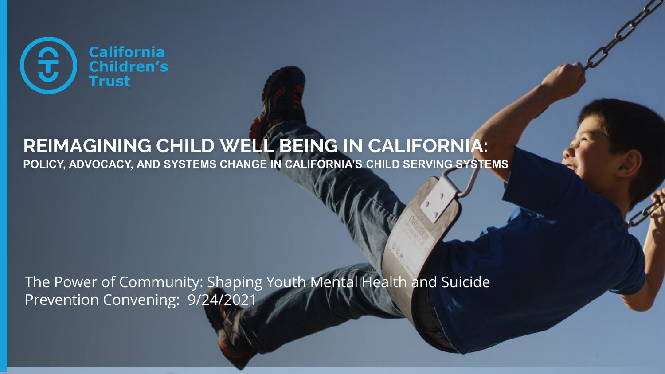

## **REIMAGINING CHILD WELL BEING IN CALIFORNIA:**

**POLICY, ADVOCACY, AND SYSTEMS CHANGE IN CALIFORNIA'S CHILD SERVING SYSTEMS**

The Power of Community: Shaping Youth Mental Health and Suicide Prevention Convening: 9/24/2021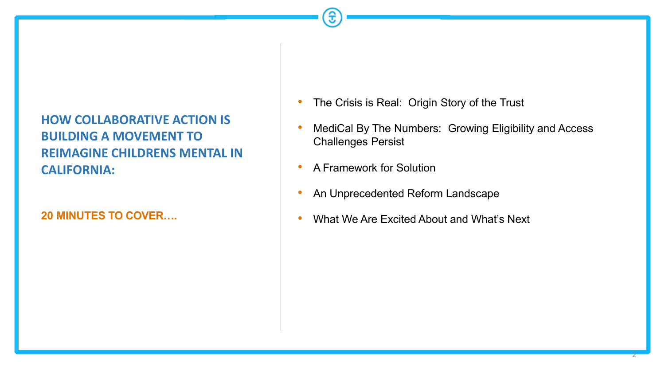#### **HOW COLLABORATIVE ACTION IS BUILDING A MOVEMENT TO REIMAGINE CHILDRENS MENTAL IN CALIFORNIA:**

**20 MINUTES TO COVER….**

- The Crisis is Real: Origin Story of the Trust
- MediCal By The Numbers: Growing Eligibility and Access Challenges Persist
- A Framework for Solution
- An Unprecedented Reform Landscape
- What We Are Excited About and What's Next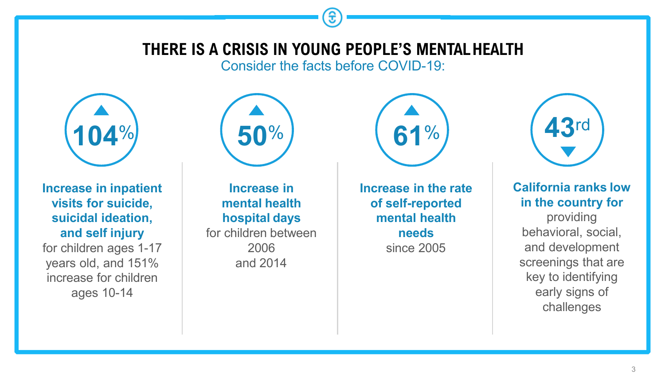### **THERE IS A CRISIS IN YOUNG PEOPLE'S MENTALHEALTH**

Consider the facts before COVID-19:



**Increase in inpatient visits for suicide, suicidal ideation, and self injury**

for children ages 1-17 years old, and 151% increase for children ages 10-14



**Increase in mental health hospital days** for children between 2006 and 2014

**Increase in the rate of self-reported mental health needs** since 2005

**61**%



**California ranks low in the country for** 

providing behavioral, social, and development screenings that are key to identifying early signs of challenges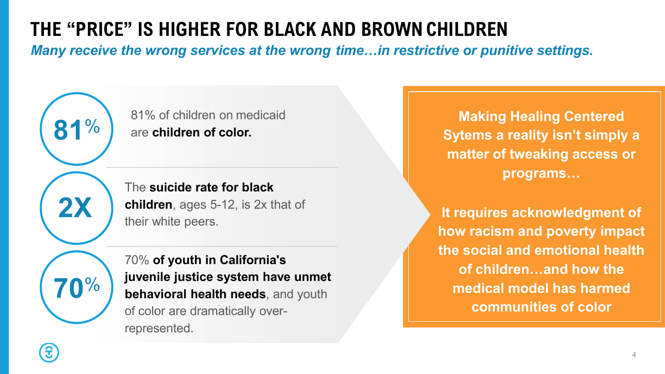## **THE "PRICE" IS HIGHER FOR BLACK AND BROWNCHILDREN**

*Many receive the wrong services at the wrong time…in restrictive or punitive settings.*

81% of children on medicaid are **children of color.**

The **suicide rate for black children**, ages 5-12, is 2x that of their white peers.

**70**%

**2X**

**81**%

70% **of youth in California's juvenile justice system have unmet behavioral health needs**, and youth of color are dramatically overrepresented.

**Making Healing Centered Sytems a reality isn't simply a matter of tweaking access or programs…**

**It requires acknowledgment of how racism and poverty impact the social and emotional health of children…and how the medical model has harmed communities of color**

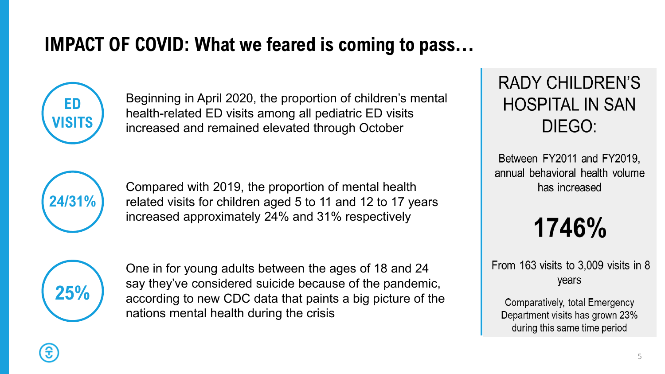## **IMPACT OF COVID: What we feared is coming to pass…**

**ED VISITS**

Beginning in April 2020, the proportion of children's mental health-related ED visits among all pediatric ED visits increased and remained elevated through October



Compared with 2019, the proportion of mental health related visits for children aged 5 to 11 and 12 to 17 years increased approximately 24% and 31% respectively

**25%**

One in for young adults between the ages of 18 and 24 say they've considered suicide because of the pandemic, according to new CDC data that paints a big picture of the nations mental health during the crisis

## **RADY CHILDREN'S HOSPITAL IN SAN** DIEGO:

Between FY2011 and FY2019, annual behavioral health volume has increased

1746%

From 163 visits to  $3,009$  visits in 8 years

Comparatively, total Emergency Department visits has grown 23% during this same time period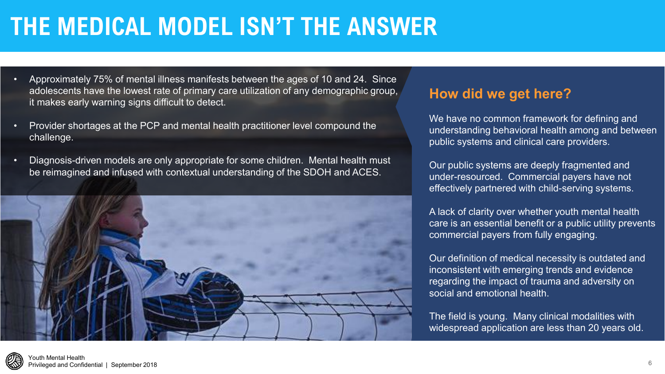## **THE MEDICAL MODEL ISN'T THE ANSWER**

- Approximately 75% of mental illness manifests between the ages of 10 and 24. Since adolescents have the lowest rate of primary care utilization of any demographic group, it makes early warning signs difficult to detect.
- Provider shortages at the PCP and mental health practitioner level compound the challenge.
- Diagnosis-driven models are only appropriate for some children. Mental health must be reimagined and infused with contextual understanding of the SDOH and ACES.



#### **How did we get here?**

We have no common framework for defining and understanding behavioral health among and between public systems and clinical care providers.

Our public systems are deeply fragmented and under-resourced. Commercial payers have not effectively partnered with child-serving systems.

A lack of clarity over whether youth mental health care is an essential benefit or a public utility prevents commercial payers from fully engaging.

Our definition of medical necessity is outdated and inconsistent with emerging trends and evidence regarding the impact of trauma and adversity on social and emotional health.

The field is young. Many clinical modalities with widespread application are less than 20 years old.

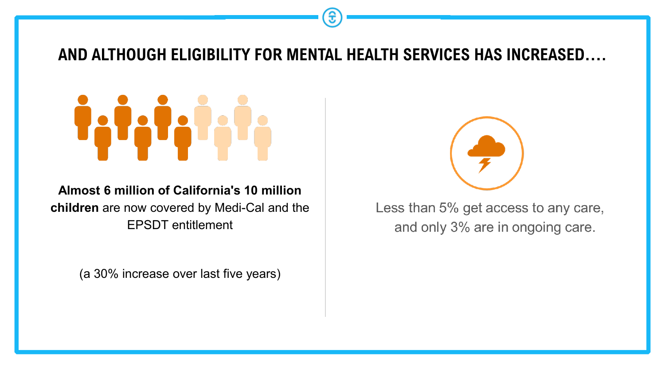<span id="page-6-0"></span>

**Almost 6 million of California's 10 million children** are now covered by Medi-Cal and the EPSDT entitlement

(a 30% increase over last five years)



Less than 5% get access to any care, and only 3% are in ongoing care.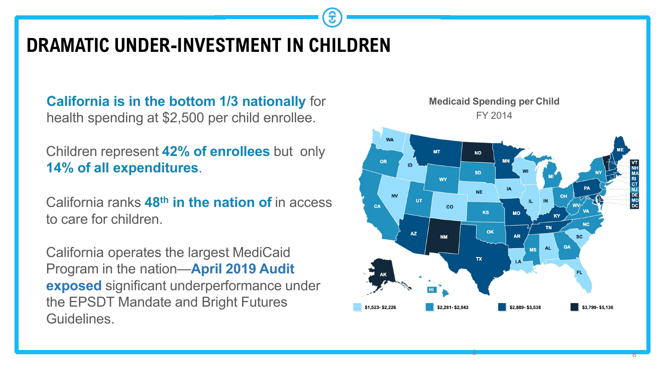### **DRAMATIC UNDER-INVESTMENT IN CHILDREN**

**California is in the bottom 1/3 nationally** for health spending at \$2,500 per child enrollee.

Children represent **42% of enrollees** but only **14% of all expenditures**.

California ranks **48th in the nation of** in access to care for children.

California operates the largest MediCaid Program in the nation—**April 2019 Audit exposed** significant underperformance under the EPSDT Mandate and Bright Futures Guidelines.

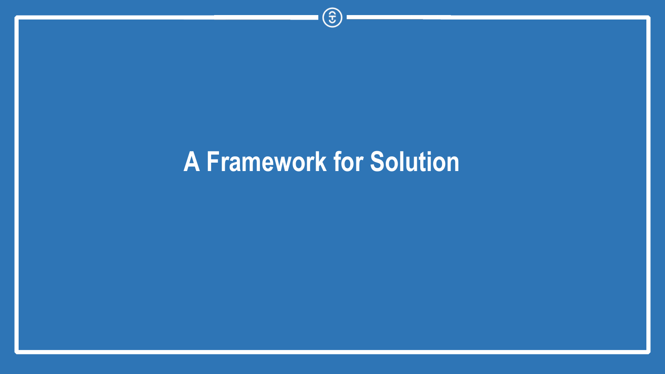# **A Framework for Solution**

 $\circledcirc$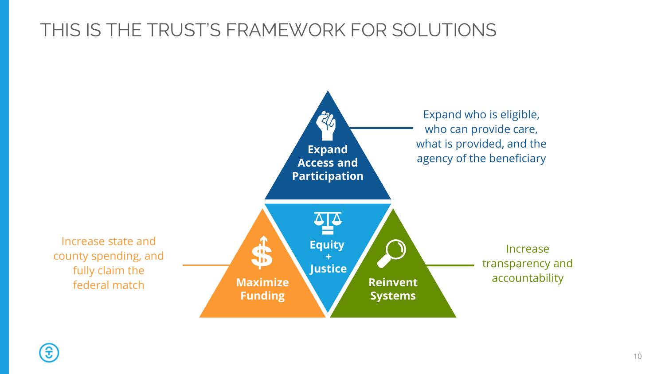### THIS IS THE TRUST'S FRAMEWORK FOR SOLUTIONS



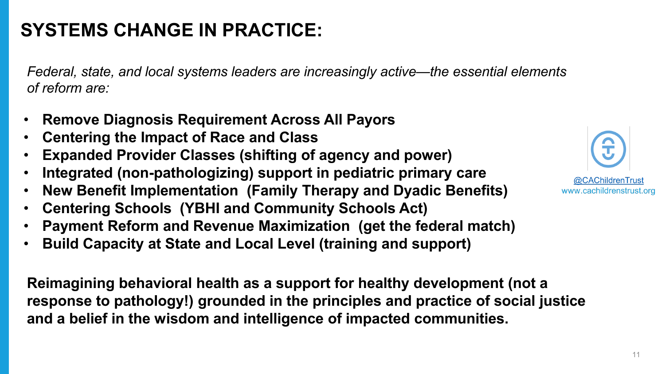## **SYSTEMS CHANGE IN PRACTICE:**

*Federal, state, and local systems leaders are increasingly active—the essential elements of reform are:*

- **Remove Diagnosis Requirement Across All Payors**
- **Centering the Impact of Race and Class**
- **Expanded Provider Classes (shifting of agency and power)**
- **Integrated (non-pathologizing) support in pediatric primary care**
- **New Benefit Implementation (Family Therapy and Dyadic Benefits)**
- **Centering Schools (YBHI and Community Schools Act)**
- **Payment Reform and Revenue Maximization (get the federal match)**
- **Build Capacity at State and Local Level (training and support)**

**Reimagining behavioral health as a support for healthy development (not a response to pathology!) grounded in the principles and practice of social justice and a belief in the wisdom and intelligence of impacted communities.** 

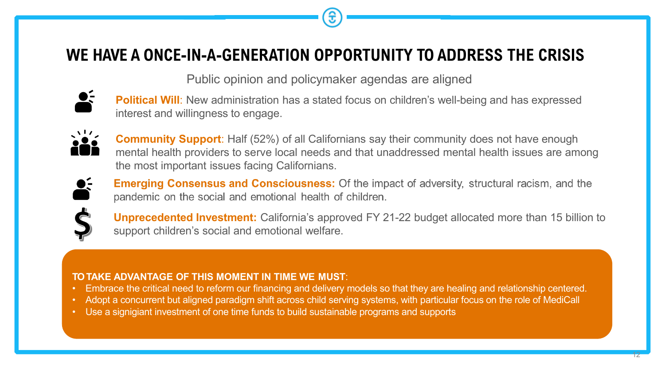### **WE HAVE A ONCE-IN-A-GENERATION OPPORTUNITY TO ADDRESS THE CRISIS**

Public opinion and policymaker agendas are aligned



**Political Will**: New administration has a stated focus on children's well-being and has expressed interest and willingness to engage.



**Community Support**: Half (52%) of all Californians say their community does not have enough mental health providers to serve local needs and that unaddressed mental health issues are among the most important issues facing Californians.



**Emerging Consensus and Consciousness:** Of the impact of adversity, structural racism, and the pandemic on the social and emotional health of children.



**Unprecedented Investment:** California's approved FY 21-22 budget allocated more than 15 billion to support children's social and emotional welfare.

#### **TO TAKE ADVANTAGE OF THIS MOMENT IN TIME WE MUST**:

- Embrace the critical need to reform our financing and delivery models so that they are healing and relationship centered.
- Adopt a concurrent but aligned paradigm shift across child serving systems, with particular focus on the role of MediCall
- Use a signigiant investment of one time funds to build sustainable programs and supports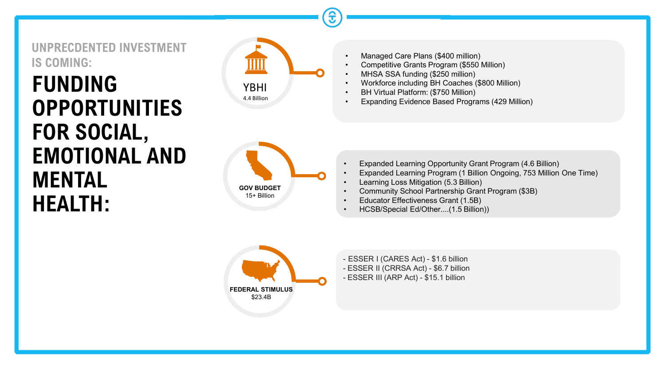**UNPRECDENTED INVESTMENT IS COMING:**

## **FUNDING OPPORTUNITIES FOR SOCIAL, EMOTIONAL AND MENTAL HEALTH:**



4.4 Billion



- Managed Care Plans (\$400 million)
- Competitive Grants Program (\$550 Million)
- MHSA SSA funding (\$250 million)
- Workforce including BH Coaches (\$800 Million)
- BH Virtual Platform: (\$750 Million)
- Expanding Evidence Based Programs (429 Million)

- Expanded Learning Opportunity Grant Program (4.6 Billion)
- Expanded Learning Program (1 Billion Ongoing, 753 Million One Time)
- Learning Loss Mitigation (5.3 Billion)
- Community School Partnership Grant Program (\$3B)
- Educator Effectiveness Grant (1.5B)
- HCSB/Special Ed/Other....(1.5 Billion))



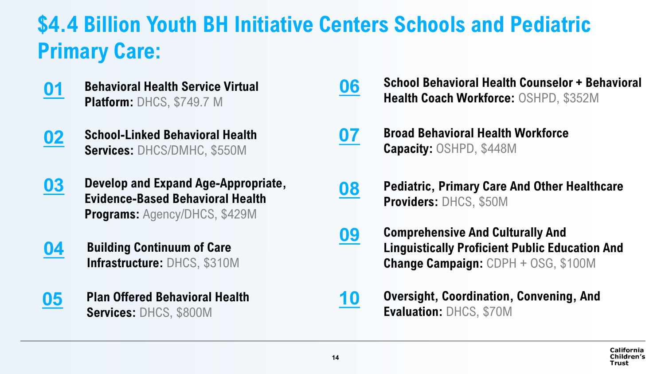## **\$4.4 Billion Youth BH Initiative Centers Schools and Pediatric Primary Care:**

- **Behavioral Health Service Virtual Platform:** DHCS, \$749.7 M **01**
- **School-Linked Behavioral Health Services:** DHCS/DMHC, \$550M **02**
- **Develop and Expand Age-Appropriate, Evidence-Based Behavioral Health Programs:** Agency/DHCS, \$429M **03**
- **Building Continuum of Care Infrastructure:** DHCS, \$310M **04**
- **05 Plan Offered Behavioral Health Services:** DHCS, \$800M
- **06 School Behavioral Health Counselor + Behavioral Health Coach Workforce:** OSHPD, \$352M
- **Broad Behavioral Health Workforce Capacity:** OSHPD, \$448M **07**
- **Pediatric, Primary Care And Other Healthcare Providers:** DHCS, \$50M **08**
- **Comprehensive And Culturally And Linguistically Proficient Public Education And Change Campaign:** CDPH + OSG, \$100M **09**
- **Oversight, Coordination, Convening, And Evaluation:** DHCS, \$70M **[10](#page-6-0)**